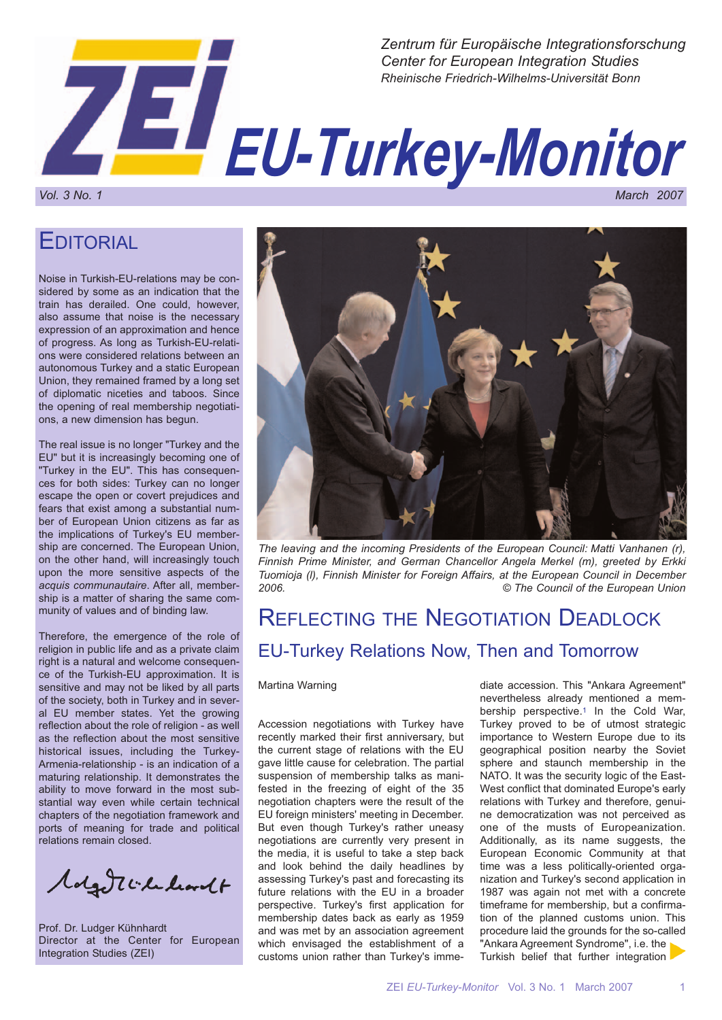

**EDITORIAL** 

Noise in Turkish-EU-relations may be considered by some as an indication that the train has derailed. One could, however, also assume that noise is the necessary expression of an approximation and hence of progress. As long as Turkish-EU-relations were considered relations between an autonomous Turkey and a static European Union, they remained framed by a long set of diplomatic niceties and taboos. Since the opening of real membership negotiations, a new dimension has begun.

The real issue is no longer "Turkey and the EU" but it is increasingly becoming one of "Turkey in the EU". This has consequences for both sides: Turkey can no longer escape the open or covert prejudices and fears that exist among a substantial number of European Union citizens as far as the implications of Turkey's EU membership are concerned. The European Union, on the other hand, will increasingly touch upon the more sensitive aspects of the *acquis communautaire*. After all, membership is a matter of sharing the same community of values and of binding law.

Therefore, the emergence of the role of religion in public life and as a private claim right is a natural and welcome consequence of the Turkish-EU approximation. It is sensitive and may not be liked by all parts of the society, both in Turkey and in several EU member states. Yet the growing reflection about the role of religion - as well as the reflection about the most sensitive historical issues, including the Turkey-Armenia-relationship - is an indication of a maturing relationship. It demonstrates the ability to move forward in the most substantial way even while certain technical chapters of the negotiation framework and ports of meaning for trade and political relations remain closed.

Molgott Chalcordt

Prof. Dr. Ludger Kühnhardt Director at the Center for European Integration Studies (ZEI)



*The leaving and the incoming Presidents of the European Council: Matti Vanhanen (r), Finnish Prime Minister, and German Chancellor Angela Merkel (m), greeted by Erkki Tuomioja (l), Finnish Minister for Foreign Affairs, at the European Council in December 2006. © The Council of the European Union*

# REFLECTING THE NEGOTIATION DEADLOCK EU-Turkey Relations Now, Then and Tomorrow

#### Martina Warning

Accession negotiations with Turkey have recently marked their first anniversary, but the current stage of relations with the EU gave little cause for celebration. The partial suspension of membership talks as manifested in the freezing of eight of the 35 negotiation chapters were the result of the EU foreign ministers' meeting in December. But even though Turkey's rather uneasy negotiations are currently very present in the media, it is useful to take a step back and look behind the daily headlines by assessing Turkey's past and forecasting its future relations with the EU in a broader perspective. Turkey's first application for membership dates back as early as 1959 and was met by an association agreement which envisaged the establishment of a customs union rather than Turkey's immediate accession. This "Ankara Agreement" nevertheless already mentioned a membership perspective.1 In the Cold War, Turkey proved to be of utmost strategic importance to Western Europe due to its geographical position nearby the Soviet sphere and staunch membership in the NATO. It was the security logic of the East-West conflict that dominated Europe's early relations with Turkey and therefore, genuine democratization was not perceived as one of the musts of Europeanization. Additionally, as its name suggests, the European Economic Community at that time was a less politically-oriented organization and Turkey's second application in 1987 was again not met with a concrete timeframe for membership, but a confirmation of the planned customs union. This procedure laid the grounds for the so-called "Ankara Agreement Syndrome", i.e. the Turkish belief that further integration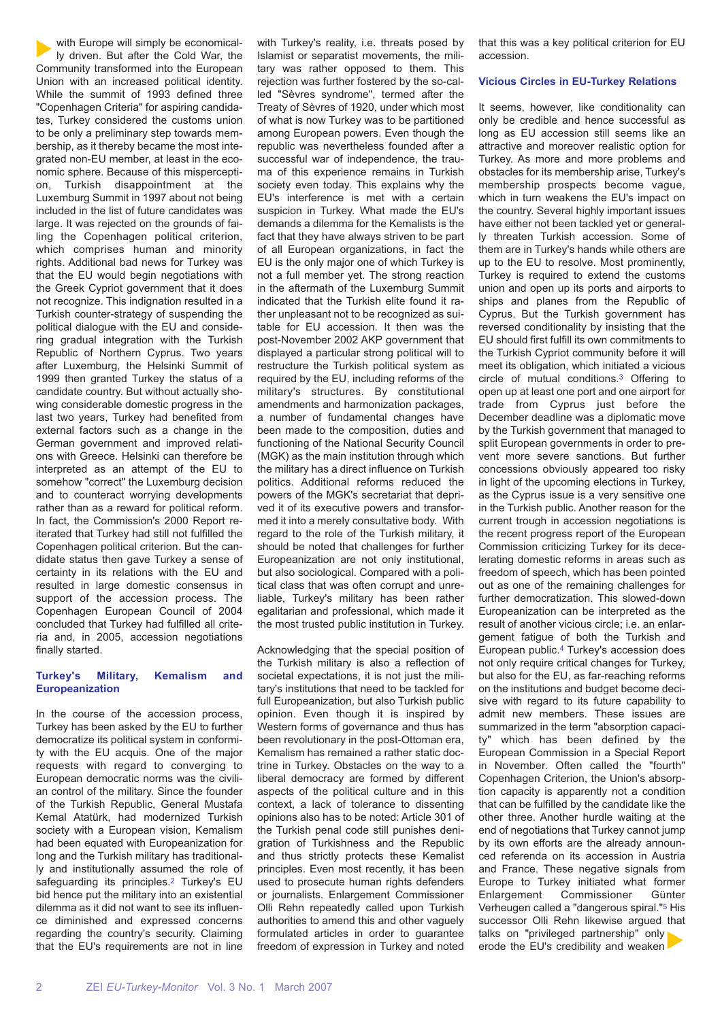with Europe will simply be economically driven. But after the Cold War, the Community transformed into the European Union with an increased political identity. While the summit of 1993 defined three "Copenhagen Criteria" for aspiring candidates, Turkey considered the customs union to be only a preliminary step towards membership, as it thereby became the most integrated non-EU member, at least in the economic sphere. Because of this misperception, Turkish disappointment at the Luxemburg Summit in 1997 about not being included in the list of future candidates was large. It was rejected on the grounds of failing the Copenhagen political criterion, which comprises human and minority rights. Additional bad news for Turkey was that the EU would begin negotiations with the Greek Cypriot government that it does not recognize. This indignation resulted in a Turkish counter-strategy of suspending the political dialogue with the EU and considering gradual integration with the Turkish Republic of Northern Cyprus. Two years after Luxemburg, the Helsinki Summit of 1999 then granted Turkey the status of a candidate country. But without actually showing considerable domestic progress in the last two years, Turkey had benefited from external factors such as a change in the German government and improved relations with Greece. Helsinki can therefore be interpreted as an attempt of the EU to somehow "correct" the Luxemburg decision and to counteract worrying developments rather than as a reward for political reform. In fact, the Commission's 2000 Report reiterated that Turkey had still not fulfilled the Copenhagen political criterion. But the candidate status then gave Turkey a sense of certainty in its relations with the EU and resulted in large domestic consensus in support of the accession process. The Copenhagen European Council of 2004 concluded that Turkey had fulfilled all criteria and, in 2005, accession negotiations finally started.

#### **Turkey's Military, Kemalism and Europeanization**

In the course of the accession process, Turkey has been asked by the EU to further democratize its political system in conformity with the EU acquis. One of the major requests with regard to converging to European democratic norms was the civilian control of the military. Since the founder of the Turkish Republic, General Mustafa Kemal Atatürk, had modernized Turkish society with a European vision, Kemalism had been equated with Europeanization for long and the Turkish military has traditionally and institutionally assumed the role of safeguarding its principles.<sup>2</sup> Turkey's EU bid hence put the military into an existential dilemma as it did not want to see its influence diminished and expressed concerns regarding the country's security. Claiming that the EU's requirements are not in line

with Turkey's reality, i.e. threats posed by Islamist or separatist movements, the military was rather opposed to them. This rejection was further fostered by the so-called "Sèvres syndrome", termed after the Treaty of Sèvres of 1920, under which most of what is now Turkey was to be partitioned among European powers. Even though the republic was nevertheless founded after a successful war of independence, the trauma of this experience remains in Turkish society even today. This explains why the EU's interference is met with a certain suspicion in Turkey. What made the EU's demands a dilemma for the Kemalists is the fact that they have always striven to be part of all European organizations, in fact the EU is the only major one of which Turkey is not a full member yet. The strong reaction in the aftermath of the Luxemburg Summit indicated that the Turkish elite found it rather unpleasant not to be recognized as suitable for EU accession. It then was the post-November 2002 AKP government that displayed a particular strong political will to restructure the Turkish political system as required by the EU, including reforms of the military's structures. By constitutional amendments and harmonization packages, a number of fundamental changes have been made to the composition, duties and functioning of the National Security Council (MGK) as the main institution through which the military has a direct influence on Turkish politics. Additional reforms reduced the powers of the MGK's secretariat that deprived it of its executive powers and transformed it into a merely consultative body. With regard to the role of the Turkish military, it should be noted that challenges for further Europeanization are not only institutional, but also sociological. Compared with a political class that was often corrupt and unreliable, Turkey's military has been rather egalitarian and professional, which made it the most trusted public institution in Turkey.

Acknowledging that the special position of the Turkish military is also a reflection of societal expectations, it is not just the military's institutions that need to be tackled for full Europeanization, but also Turkish public opinion. Even though it is inspired by Western forms of governance and thus has been revolutionary in the post-Ottoman era, Kemalism has remained a rather static doctrine in Turkey. Obstacles on the way to a liberal democracy are formed by different aspects of the political culture and in this context, a lack of tolerance to dissenting opinions also has to be noted: Article 301 of the Turkish penal code still punishes denigration of Turkishness and the Republic and thus strictly protects these Kemalist principles. Even most recently, it has been used to prosecute human rights defenders or journalists. Enlargement Commissioner Olli Rehn repeatedly called upon Turkish authorities to amend this and other vaguely formulated articles in order to guarantee freedom of expression in Turkey and noted

that this was a key political criterion for EU accession.

#### **Vicious Circles in EU-Turkey Relations**

It seems, however, like conditionality can only be credible and hence successful as long as EU accession still seems like an attractive and moreover realistic option for Turkey. As more and more problems and obstacles for its membership arise, Turkey's membership prospects become vague, which in turn weakens the EU's impact on the country. Several highly important issues have either not been tackled yet or generally threaten Turkish accession. Some of them are in Turkey's hands while others are up to the EU to resolve. Most prominently, Turkey is required to extend the customs union and open up its ports and airports to ships and planes from the Republic of Cyprus. But the Turkish government has reversed conditionality by insisting that the EU should first fulfill its own commitments to the Turkish Cypriot community before it will meet its obligation, which initiated a vicious circle of mutual conditions.3 Offering to open up at least one port and one airport for trade from Cyprus just before the December deadline was a diplomatic move by the Turkish government that managed to split European governments in order to prevent more severe sanctions. But further concessions obviously appeared too risky in light of the upcoming elections in Turkey, as the Cyprus issue is a very sensitive one in the Turkish public. Another reason for the current trough in accession negotiations is the recent progress report of the European Commission criticizing Turkey for its decelerating domestic reforms in areas such as freedom of speech, which has been pointed out as one of the remaining challenges for further democratization. This slowed-down Europeanization can be interpreted as the result of another vicious circle; i.e. an enlargement fatigue of both the Turkish and European public.4 Turkey's accession does not only require critical changes for Turkey, but also for the EU, as far-reaching reforms on the institutions and budget become decisive with regard to its future capability to admit new members. These issues are summarized in the term "absorption capacity" which has been defined by the European Commission in a Special Report in November. Often called the "fourth" Copenhagen Criterion, the Union's absorption capacity is apparently not a condition that can be fulfilled by the candidate like the other three. Another hurdle waiting at the end of negotiations that Turkey cannot jump by its own efforts are the already announced referenda on its accession in Austria and France. These negative signals from Europe to Turkey initiated what former Enlargement Commissioner Günter Verheugen called a "dangerous spiral."5 His successor Olli Rehn likewise argued that talks on "privileged partnership" only erode the EU's credibility and weaken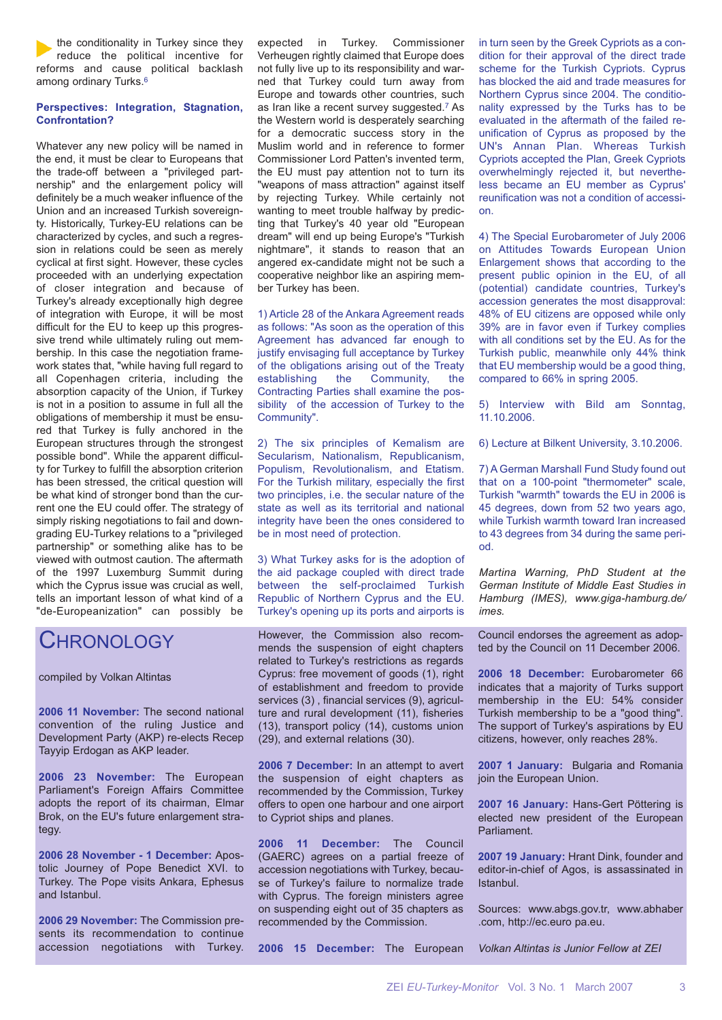the conditionality in Turkey since they reduce the political incentive for reforms and cause political backlash among ordinary Turks.<sup>6</sup>

#### **Perspectives: Integration, Stagnation, Confrontation?**

Whatever any new policy will be named in the end, it must be clear to Europeans that the trade-off between a "privileged partnership" and the enlargement policy will definitely be a much weaker influence of the Union and an increased Turkish sovereignty. Historically, Turkey-EU relations can be characterized by cycles, and such a regression in relations could be seen as merely cyclical at first sight. However, these cycles proceeded with an underlying expectation of closer integration and because of Turkey's already exceptionally high degree of integration with Europe, it will be most difficult for the EU to keep up this progressive trend while ultimately ruling out membership. In this case the negotiation framework states that, "while having full regard to all Copenhagen criteria, including the absorption capacity of the Union, if Turkey is not in a position to assume in full all the obligations of membership it must be ensured that Turkey is fully anchored in the European structures through the strongest possible bond". While the apparent difficulty for Turkey to fulfill the absorption criterion has been stressed, the critical question will be what kind of stronger bond than the current one the EU could offer. The strategy of simply risking negotiations to fail and downgrading EU-Turkey relations to a "privileged partnership" or something alike has to be viewed with outmost caution. The aftermath of the 1997 Luxemburg Summit during which the Cyprus issue was crucial as well, tells an important lesson of what kind of a "de-Europeanization" can possibly be

### **CHRONOLOGY**

compiled by Volkan Altintas

**2006 11 November:** The second national convention of the ruling Justice and Development Party (AKP) re-elects Recep Tayyip Erdogan as AKP leader.

**2006 23 November:** The European Parliament's Foreign Affairs Committee adopts the report of its chairman, Elmar Brok, on the EU's future enlargement strategy.

**2006 28 November - 1 December:** Apostolic Journey of Pope Benedict XVI. to Turkey. The Pope visits Ankara, Ephesus and Istanbul.

**2006 29 November:** The Commission presents its recommendation to continue accession negotiations with Turkey. expected in Turkey. Commissioner Verheugen rightly claimed that Europe does not fully live up to its responsibility and warned that Turkey could turn away from Europe and towards other countries, such as Iran like a recent survey suggested.7 As the Western world is desperately searching for a democratic success story in the Muslim world and in reference to former Commissioner Lord Patten's invented term, the EU must pay attention not to turn its "weapons of mass attraction" against itself by rejecting Turkey. While certainly not wanting to meet trouble halfway by predicting that Turkey's 40 year old "European dream" will end up being Europe's "Turkish nightmare", it stands to reason that an angered ex-candidate might not be such a cooperative neighbor like an aspiring member Turkey has been.

1) Article 28 of the Ankara Agreement reads as follows: "As soon as the operation of this Agreement has advanced far enough to justify envisaging full acceptance by Turkey of the obligations arising out of the Treaty establishing the Community, the Contracting Parties shall examine the possibility of the accession of Turkey to the Community".

2) The six principles of Kemalism are Secularism, Nationalism, Republicanism, Populism, Revolutionalism, and Etatism. For the Turkish military, especially the first two principles, i.e. the secular nature of the state as well as its territorial and national integrity have been the ones considered to be in most need of protection.

3) What Turkey asks for is the adoption of the aid package coupled with direct trade between the self-proclaimed Turkish Republic of Northern Cyprus and the EU. Turkey's opening up its ports and airports is

However, the Commission also recommends the suspension of eight chapters related to Turkey's restrictions as regards Cyprus: free movement of goods (1), right of establishment and freedom to provide services (3) , financial services (9), agriculture and rural development (11), fisheries (13), transport policy (14), customs union (29), and external relations (30).

**2006 7 December:** In an attempt to avert the suspension of eight chapters as recommended by the Commission, Turkey offers to open one harbour and one airport to Cypriot ships and planes.

**2006 11 December:** The Council (GAERC) agrees on a partial freeze of accession negotiations with Turkey, because of Turkey's failure to normalize trade with Cyprus. The foreign ministers agree on suspending eight out of 35 chapters as recommended by the Commission.

**2006 15 December:** The European

in turn seen by the Greek Cypriots as a condition for their approval of the direct trade scheme for the Turkish Cypriots. Cyprus has blocked the aid and trade measures for Northern Cyprus since 2004. The conditionality expressed by the Turks has to be evaluated in the aftermath of the failed reunification of Cyprus as proposed by the UN's Annan Plan. Whereas Turkish Cypriots accepted the Plan, Greek Cypriots overwhelmingly rejected it, but nevertheless became an EU member as Cyprus' reunification was not a condition of accession.

4) The Special Eurobarometer of July 2006 on Attitudes Towards European Union Enlargement shows that according to the present public opinion in the EU, of all (potential) candidate countries, Turkey's accession generates the most disapproval: 48% of EU citizens are opposed while only 39% are in favor even if Turkey complies with all conditions set by the EU. As for the Turkish public, meanwhile only 44% think that EU membership would be a good thing, compared to 66% in spring 2005.

5) Interview with Bild am Sonntag, 11.10.2006.

6) Lecture at Bilkent University, 3.10.2006.

7) A German Marshall Fund Study found out that on a 100-point "thermometer" scale, Turkish "warmth" towards the EU in 2006 is 45 degrees, down from 52 two years ago, while Turkish warmth toward Iran increased to 43 degrees from 34 during the same period.

*Martina Warning, PhD Student at the German Institute of Middle East Studies in Hamburg (IMES), www.giga-hamburg.de/ imes.*

Council endorses the agreement as adopted by the Council on 11 December 2006.

**2006 18 December:** Eurobarometer 66 indicates that a majority of Turks support membership in the EU: 54% consider Turkish membership to be a "good thing". The support of Turkey's aspirations by EU citizens, however, only reaches 28%.

**2007 1 January:** Bulgaria and Romania join the European Union.

**2007 16 January:** Hans-Gert Pöttering is elected new president of the European Parliament.

**2007 19 January:** Hrant Dink, founder and editor-in-chief of Agos, is assassinated in Istanbul.

Sources: www.abgs.gov.tr, www.abhaber .com, http://ec.euro pa.eu.

*Volkan Altintas is Junior Fellow at ZEI*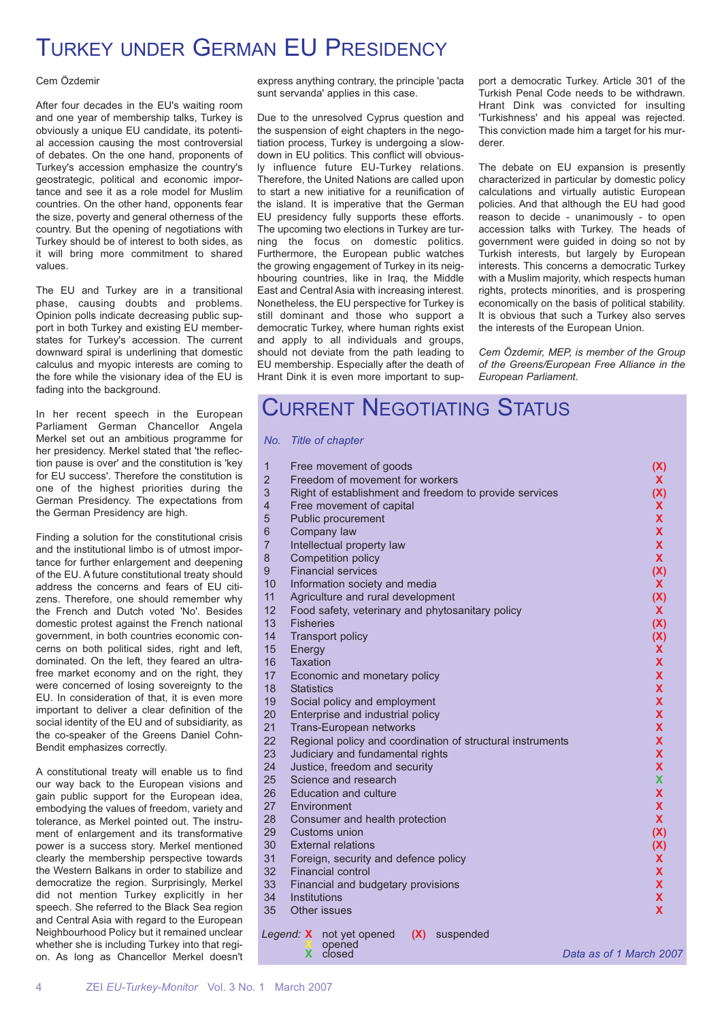# TURKEY UNDER GERMAN EU PRESIDENCY

#### Cem Özdemir

After four decades in the EU's waiting room and one year of membership talks, Turkey is obviously a unique EU candidate, its potential accession causing the most controversial of debates. On the one hand, proponents of Turkey's accession emphasize the country's geostrategic, political and economic importance and see it as a role model for Muslim countries. On the other hand, opponents fear the size, poverty and general otherness of the country. But the opening of negotiations with Turkey should be of interest to both sides, as it will bring more commitment to shared values.

The EU and Turkey are in a transitional phase, causing doubts and problems. Opinion polls indicate decreasing public support in both Turkey and existing EU memberstates for Turkey's accession. The current downward spiral is underlining that domestic calculus and myopic interests are coming to the fore while the visionary idea of the EU is fading into the background.

In her recent speech in the European Parliament German Chancellor Angela Merkel set out an ambitious programme for her presidency. Merkel stated that 'the reflection pause is over' and the constitution is 'key for EU success'. Therefore the constitution is one of the highest priorities during the German Presidency. The expectations from the German Presidency are high.

Finding a solution for the constitutional crisis and the institutional limbo is of utmost importance for further enlargement and deepening of the EU. A future constitutional treaty should address the concerns and fears of EU citizens. Therefore, one should remember why the French and Dutch voted 'No'. Besides domestic protest against the French national government, in both countries economic concerns on both political sides, right and left, dominated. On the left, they feared an ultrafree market economy and on the right, they were concerned of losing sovereignty to the EU. In consideration of that, it is even more important to deliver a clear definition of the social identity of the EU and of subsidiarity, as the co-speaker of the Greens Daniel Cohn-Bendit emphasizes correctly.

A constitutional treaty will enable us to find our way back to the European visions and gain public support for the European idea, embodying the values of freedom, variety and tolerance, as Merkel pointed out. The instrument of enlargement and its transformative power is a success story. Merkel mentioned clearly the membership perspective towards the Western Balkans in order to stabilize and democratize the region. Surprisingly, Merkel did not mention Turkey explicitly in her speech. She referred to the Black Sea region and Central Asia with regard to the European Neighbourhood Policy but it remained unclear whether she is including Turkey into that region. As long as Chancellor Merkel doesn't express anything contrary, the principle 'pacta sunt servanda' applies in this case.

Due to the unresolved Cyprus question and the suspension of eight chapters in the negotiation process, Turkey is undergoing a slowdown in EU politics. This conflict will obviously influence future EU-Turkey relations. Therefore, the United Nations are called upon to start a new initiative for a reunification of the island. It is imperative that the German EU presidency fully supports these efforts. The upcoming two elections in Turkey are turning the focus on domestic politics. Furthermore, the European public watches the growing engagement of Turkey in its neighbouring countries, like in Iraq, the Middle East and Central Asia with increasing interest. Nonetheless, the EU perspective for Turkey is still dominant and those who support a democratic Turkey, where human rights exist and apply to all individuals and groups, should not deviate from the path leading to EU membership. Especially after the death of Hrant Dink it is even more important to support a democratic Turkey. Article 301 of the Turkish Penal Code needs to be withdrawn. Hrant Dink was convicted for insulting 'Turkishness' and his appeal was rejected. This conviction made him a target for his murderer.

The debate on EU expansion is presently characterized in particular by domestic policy calculations and virtually autistic European policies. And that although the EU had good reason to decide - unanimously - to open accession talks with Turkey. The heads of government were guided in doing so not by Turkish interests, but largely by European interests. This concerns a democratic Turkey with a Muslim majority, which respects human rights, protects minorities, and is prospering economically on the basis of political stability. It is obvious that such a Turkey also serves the interests of the European Union.

*Cem Özdemir, MEP, is member of the Group of the Greens/European Free Alliance in the European Parliament.*

### CURRENT NEGOTIATING STATUS

#### *No. Title of chapter*

| $\overline{1}$ | Free movement of goods                                     | (X)                     |
|----------------|------------------------------------------------------------|-------------------------|
| $\overline{2}$ | Freedom of movement for workers                            | X.                      |
| 3              | Right of establishment and freedom to provide services     | (X)                     |
| $\overline{4}$ | Free movement of capital                                   | X.                      |
| 5              | Public procurement                                         | X                       |
| 6              | Company law                                                | X                       |
| $\overline{7}$ | Intellectual property law                                  | X                       |
| 8              | Competition policy                                         | $\mathbf{x}$            |
| 9              | <b>Financial services</b>                                  | (X)                     |
| 10             | Information society and media                              | <b>X</b>                |
| 11             | Agriculture and rural development                          | (X)                     |
| 12             | Food safety, veterinary and phytosanitary policy           | X.                      |
| 13             | <b>Fisheries</b>                                           | (X)                     |
| 14             | <b>Transport policy</b>                                    | (X)                     |
| 15             | Energy                                                     | X                       |
| 16             | Taxation                                                   | X                       |
| 17             | Economic and monetary policy                               | <b>X</b>                |
| 18             | <b>Statistics</b>                                          | X                       |
| 19             | Social policy and employment                               | X                       |
| 20             | Enterprise and industrial policy                           | X                       |
| 21             | Trans-European networks                                    | X                       |
| 22             | Regional policy and coordination of structural instruments | X                       |
| 23<br>24       | Judiciary and fundamental rights                           | X<br>X                  |
| 25             | Justice, freedom and security<br>Science and research      | X                       |
| 26             | Education and culture                                      | X                       |
| 27             | Environment                                                | X                       |
| 28             | Consumer and health protection                             | $\mathbf{x}$            |
| 29             | Customs union                                              | (X)                     |
| 30             | <b>External relations</b>                                  | (X)                     |
| 31             | Foreign, security and defence policy                       | X.                      |
| 32             | <b>Financial control</b>                                   | X                       |
| 33             | Financial and budgetary provisions                         | X                       |
| 34             | Institutions                                               | X                       |
| 35             | Other issues                                               | $\mathbf x$             |
|                |                                                            |                         |
|                | Legend: X not yet opened<br>(X)<br>suspended               |                         |
|                | opened<br>closed<br>x                                      | Data as of 1 March 2007 |
|                |                                                            |                         |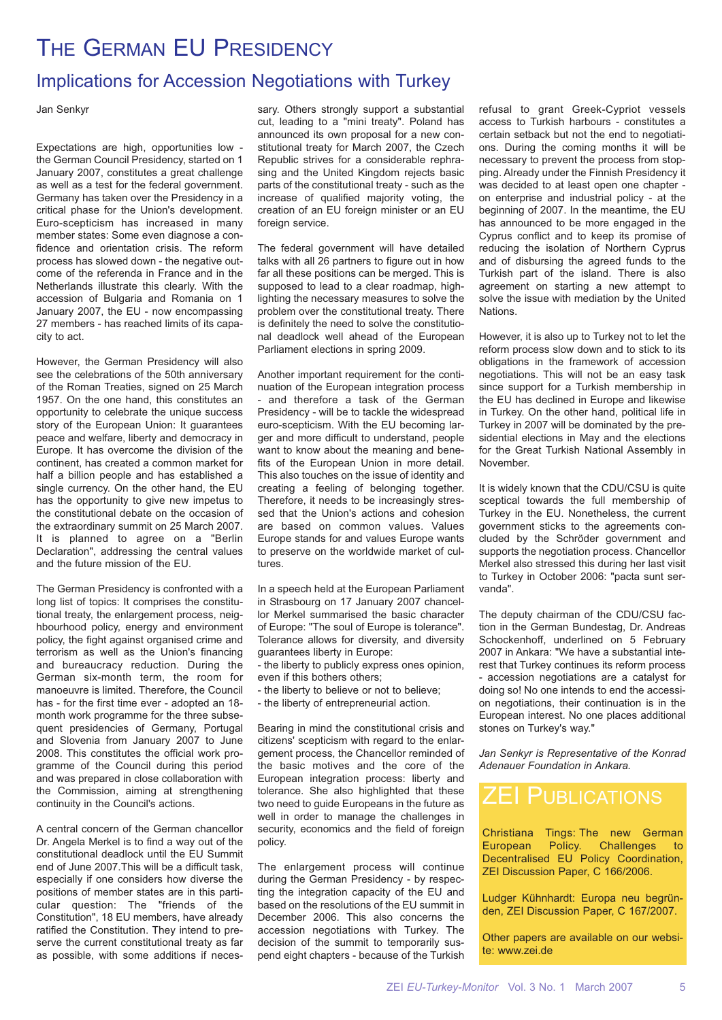# THE GERMAN EU PRESIDENCY

### Implications for Accession Negotiations with Turkey

Jan Senkyr

Expectations are high, opportunities low the German Council Presidency, started on 1 January 2007, constitutes a great challenge as well as a test for the federal government. Germany has taken over the Presidency in a critical phase for the Union's development. Euro-scepticism has increased in many member states: Some even diagnose a confidence and orientation crisis. The reform process has slowed down - the negative outcome of the referenda in France and in the Netherlands illustrate this clearly. With the accession of Bulgaria and Romania on 1 January 2007, the EU - now encompassing 27 members - has reached limits of its capacity to act.

However, the German Presidency will also see the celebrations of the 50th anniversary of the Roman Treaties, signed on 25 March 1957. On the one hand, this constitutes an opportunity to celebrate the unique success story of the European Union: It guarantees peace and welfare, liberty and democracy in Europe. It has overcome the division of the continent, has created a common market for half a billion people and has established a single currency. On the other hand, the EU has the opportunity to give new impetus to the constitutional debate on the occasion of the extraordinary summit on 25 March 2007. It is planned to agree on a "Berlin Declaration", addressing the central values and the future mission of the EU.

The German Presidency is confronted with a long list of topics: It comprises the constitutional treaty, the enlargement process, neighbourhood policy, energy and environment policy, the fight against organised crime and terrorism as well as the Union's financing and bureaucracy reduction. During the German six-month term, the room for manoeuvre is limited. Therefore, the Council has - for the first time ever - adopted an 18 month work programme for the three subsequent presidencies of Germany, Portugal and Slovenia from January 2007 to June 2008. This constitutes the official work programme of the Council during this period and was prepared in close collaboration with the Commission, aiming at strengthening continuity in the Council's actions.

A central concern of the German chancellor Dr. Angela Merkel is to find a way out of the constitutional deadlock until the EU Summit end of June 2007.This will be a difficult task, especially if one considers how diverse the positions of member states are in this particular question: The "friends of the Constitution", 18 EU members, have already ratified the Constitution. They intend to preserve the current constitutional treaty as far as possible, with some additions if necessary. Others strongly support a substantial cut, leading to a "mini treaty". Poland has announced its own proposal for a new constitutional treaty for March 2007, the Czech Republic strives for a considerable rephrasing and the United Kingdom rejects basic parts of the constitutional treaty - such as the increase of qualified majority voting, the creation of an EU foreign minister or an EU foreign service.

The federal government will have detailed talks with all 26 partners to figure out in how far all these positions can be merged. This is supposed to lead to a clear roadmap, highlighting the necessary measures to solve the problem over the constitutional treaty. There is definitely the need to solve the constitutional deadlock well ahead of the European Parliament elections in spring 2009.

Another important requirement for the continuation of the European integration process - and therefore a task of the German Presidency - will be to tackle the widespread euro-scepticism. With the EU becoming larger and more difficult to understand, people want to know about the meaning and benefits of the European Union in more detail. This also touches on the issue of identity and creating a feeling of belonging together. Therefore, it needs to be increasingly stressed that the Union's actions and cohesion are based on common values. Values Europe stands for and values Europe wants to preserve on the worldwide market of cultures.

In a speech held at the European Parliament in Strasbourg on 17 January 2007 chancellor Merkel summarised the basic character of Europe: "The soul of Europe is tolerance". Tolerance allows for diversity, and diversity guarantees liberty in Europe:

- the liberty to publicly express ones opinion, even if this bothers others;

- the liberty to believe or not to believe;
- the liberty of entrepreneurial action.

Bearing in mind the constitutional crisis and citizens' scepticism with regard to the enlargement process, the Chancellor reminded of the basic motives and the core of the European integration process: liberty and tolerance. She also highlighted that these two need to quide Europeans in the future as well in order to manage the challenges in security, economics and the field of foreign policy.

The enlargement process will continue during the German Presidency - by respecting the integration capacity of the EU and based on the resolutions of the EU summit in December 2006. This also concerns the accession negotiations with Turkey. The decision of the summit to temporarily suspend eight chapters - because of the Turkish

refusal to grant Greek-Cypriot vessels access to Turkish harbours - constitutes a certain setback but not the end to negotiations. During the coming months it will be necessary to prevent the process from stopping. Already under the Finnish Presidency it was decided to at least open one chapter on enterprise and industrial policy - at the beginning of 2007. In the meantime, the EU has announced to be more engaged in the Cyprus conflict and to keep its promise of reducing the isolation of Northern Cyprus and of disbursing the agreed funds to the Turkish part of the island. There is also agreement on starting a new attempt to solve the issue with mediation by the United Nations.

However, it is also up to Turkey not to let the reform process slow down and to stick to its obligations in the framework of accession negotiations. This will not be an easy task since support for a Turkish membership in the EU has declined in Europe and likewise in Turkey. On the other hand, political life in Turkey in 2007 will be dominated by the presidential elections in May and the elections for the Great Turkish National Assembly in November.

It is widely known that the CDU/CSU is quite sceptical towards the full membership of Turkey in the EU. Nonetheless, the current government sticks to the agreements concluded by the Schröder government and supports the negotiation process. Chancellor Merkel also stressed this during her last visit to Turkey in October 2006: "pacta sunt servanda".

The deputy chairman of the CDU/CSU faction in the German Bundestag, Dr. Andreas Schockenhoff, underlined on 5 February 2007 in Ankara: "We have a substantial interest that Turkey continues its reform process - accession negotiations are a catalyst for doing so! No one intends to end the accession negotiations, their continuation is in the European interest. No one places additional stones on Turkey's way."

*Jan Senkyr is Representative of the Konrad Adenauer Foundation in Ankara.*

### ZEI PUBLICATIONS

Christiana Tings: The new German European Policy. Challenges to Decentralised EU Policy Coordination, ZEI Discussion Paper, C 166/2006.

Ludger Kühnhardt: Europa neu begründen, ZEI Discussion Paper, C 167/2007.

Other papers are available on our website: www.zei.de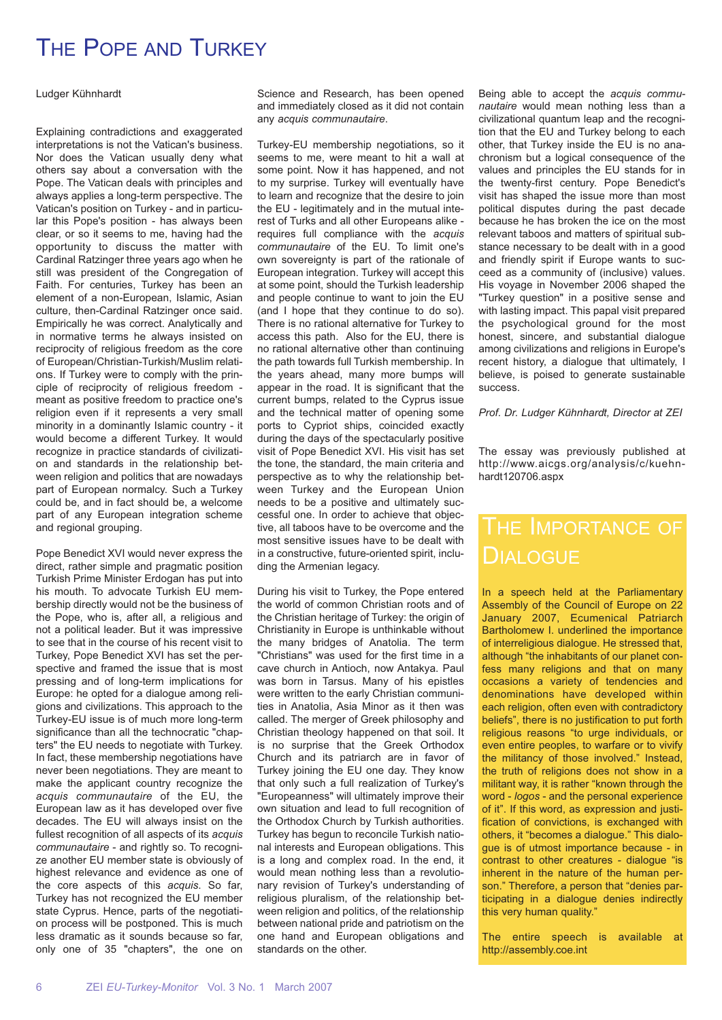# THE POPE AND TURKEY

Ludger Kühnhardt

Explaining contradictions and exaggerated interpretations is not the Vatican's business. Nor does the Vatican usually deny what others say about a conversation with the Pope. The Vatican deals with principles and always applies a long-term perspective. The Vatican's position on Turkey - and in particular this Pope's position - has always been clear, or so it seems to me, having had the opportunity to discuss the matter with Cardinal Ratzinger three years ago when he still was president of the Congregation of Faith. For centuries, Turkey has been an element of a non-European, Islamic, Asian culture, then-Cardinal Ratzinger once said. Empirically he was correct. Analytically and in normative terms he always insisted on reciprocity of religious freedom as the core of European/Christian-Turkish/Muslim relations. If Turkey were to comply with the principle of reciprocity of religious freedom meant as positive freedom to practice one's religion even if it represents a very small minority in a dominantly Islamic country - it would become a different Turkey. It would recognize in practice standards of civilization and standards in the relationship between religion and politics that are nowadays part of European normalcy. Such a Turkey could be, and in fact should be, a welcome part of any European integration scheme and regional grouping.

Pope Benedict XVI would never express the direct, rather simple and pragmatic position Turkish Prime Minister Erdogan has put into his mouth. To advocate Turkish EU membership directly would not be the business of the Pope, who is, after all, a religious and not a political leader. But it was impressive to see that in the course of his recent visit to Turkey, Pope Benedict XVI has set the perspective and framed the issue that is most pressing and of long-term implications for Europe: he opted for a dialogue among religions and civilizations. This approach to the Turkey-EU issue is of much more long-term significance than all the technocratic "chapters" the EU needs to negotiate with Turkey. In fact, these membership negotiations have never been negotiations. They are meant to make the applicant country recognize the *acquis communautaire* of the EU, the European law as it has developed over five decades. The EU will always insist on the fullest recognition of all aspects of its *acquis communautaire* - and rightly so. To recognize another EU member state is obviously of highest relevance and evidence as one of the core aspects of this *acquis*. So far, Turkey has not recognized the EU member state Cyprus. Hence, parts of the negotiation process will be postponed. This is much less dramatic as it sounds because so far, only one of 35 "chapters", the one on

Science and Research, has been opened and immediately closed as it did not contain any *acquis communautaire*.

Turkey-EU membership negotiations, so it seems to me, were meant to hit a wall at some point. Now it has happened, and not to my surprise. Turkey will eventually have to learn and recognize that the desire to join the EU - legitimately and in the mutual interest of Turks and all other Europeans alike requires full compliance with the *acquis communautaire* of the EU. To limit one's own sovereignty is part of the rationale of European integration. Turkey will accept this at some point, should the Turkish leadership and people continue to want to join the EU (and I hope that they continue to do so). There is no rational alternative for Turkey to access this path. Also for the EU, there is no rational alternative other than continuing the path towards full Turkish membership. In the years ahead, many more bumps will appear in the road. It is significant that the current bumps, related to the Cyprus issue and the technical matter of opening some ports to Cypriot ships, coincided exactly during the days of the spectacularly positive visit of Pope Benedict XVI. His visit has set the tone, the standard, the main criteria and perspective as to why the relationship between Turkey and the European Union needs to be a positive and ultimately successful one. In order to achieve that objective, all taboos have to be overcome and the most sensitive issues have to be dealt with in a constructive, future-oriented spirit, including the Armenian legacy.

During his visit to Turkey, the Pope entered the world of common Christian roots and of the Christian heritage of Turkey: the origin of Christianity in Europe is unthinkable without the many bridges of Anatolia. The term "Christians" was used for the first time in a cave church in Antioch, now Antakya. Paul was born in Tarsus. Many of his epistles were written to the early Christian communities in Anatolia, Asia Minor as it then was called. The merger of Greek philosophy and Christian theology happened on that soil. It is no surprise that the Greek Orthodox Church and its patriarch are in favor of Turkey joining the EU one day. They know that only such a full realization of Turkey's "Europeanness" will ultimately improve their own situation and lead to full recognition of the Orthodox Church by Turkish authorities. Turkey has begun to reconcile Turkish national interests and European obligations. This is a long and complex road. In the end, it would mean nothing less than a revolutionary revision of Turkey's understanding of religious pluralism, of the relationship between religion and politics, of the relationship between national pride and patriotism on the one hand and European obligations and standards on the other.

Being able to accept the *acquis communautaire* would mean nothing less than a civilizational quantum leap and the recognition that the EU and Turkey belong to each other, that Turkey inside the EU is no anachronism but a logical consequence of the values and principles the EU stands for in the twenty-first century. Pope Benedict's visit has shaped the issue more than most political disputes during the past decade because he has broken the ice on the most relevant taboos and matters of spiritual substance necessary to be dealt with in a good and friendly spirit if Europe wants to succeed as a community of (inclusive) values. His voyage in November 2006 shaped the "Turkey question" in a positive sense and with lasting impact. This papal visit prepared the psychological ground for the most honest, sincere, and substantial dialogue among civilizations and religions in Europe's recent history, a dialogue that ultimately, I believe, is poised to generate sustainable success.

*Prof. Dr. Ludger Kühnhardt, Director at ZEI*

The essay was previously published at http://www.aicgs.org/analysis/c/kuehnhardt120706.aspx

# **DIALOGUE**

In a speech held at the Parliamentary Assembly of the Council of Europe on 22 January 2007, Ecumenical Patriarch Bartholomew I. underlined the importance of interreligious dialogue. He stressed that, although "the inhabitants of our planet confess many religions and that on many occasions a variety of tendencies and denominations have developed within each religion, often even with contradictory beliefs", there is no justification to put forth religious reasons "to urge individuals, or even entire peoples, to warfare or to vivify the militancy of those involved." Instead, the truth of religions does not show in a militant way, it is rather "known through the word - *logos* - and the personal experience of it". If this word, as expression and justification of convictions, is exchanged with others, it "becomes a dialogue." This dialogue is of utmost importance because - in contrast to other creatures - dialogue "is inherent in the nature of the human person." Therefore, a person that "denies participating in a dialogue denies indirectly this very human quality."

The entire speech is available at http://assembly.coe.int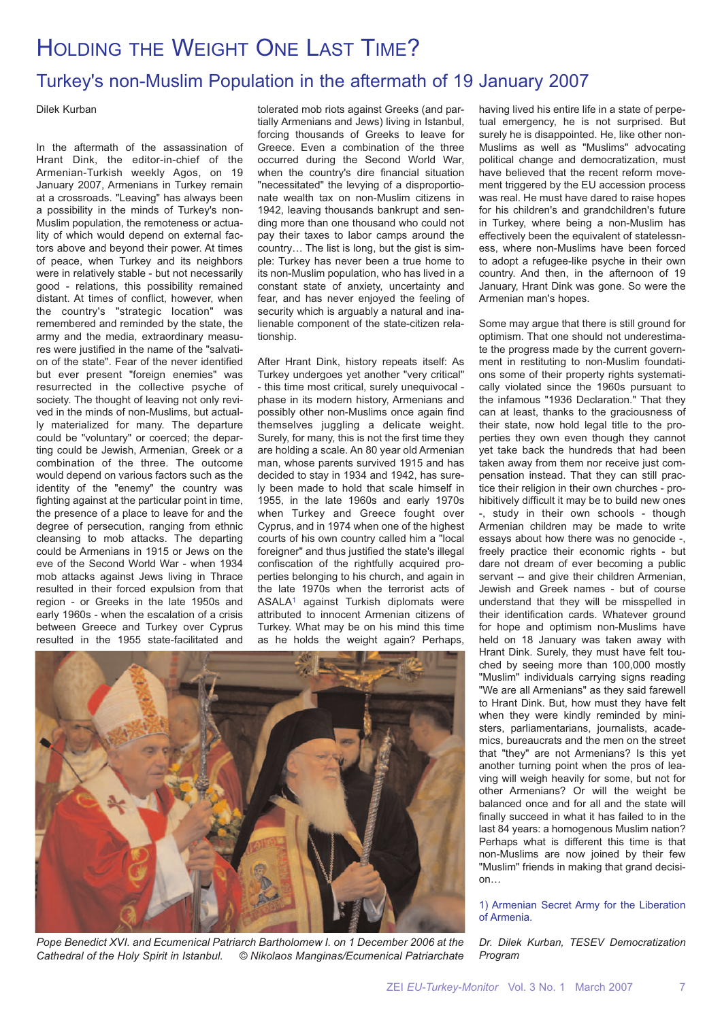# HOLDING THE WEIGHT ONE LAST TIME?

### Turkey's non-Muslim Population in the aftermath of 19 January 2007

Dilek Kurban

In the aftermath of the assassination of Hrant Dink, the editor-in-chief of the Armenian-Turkish weekly Agos, on 19 January 2007, Armenians in Turkey remain at a crossroads. "Leaving" has always been a possibility in the minds of Turkey's non-Muslim population, the remoteness or actuality of which would depend on external factors above and beyond their power. At times of peace, when Turkey and its neighbors were in relatively stable - but not necessarily good - relations, this possibility remained distant. At times of conflict, however, when the country's "strategic location" was remembered and reminded by the state, the army and the media, extraordinary measures were justified in the name of the "salvation of the state". Fear of the never identified but ever present "foreign enemies" was resurrected in the collective psyche of society. The thought of leaving not only revived in the minds of non-Muslims, but actually materialized for many. The departure could be "voluntary" or coerced; the departing could be Jewish, Armenian, Greek or a combination of the three. The outcome would depend on various factors such as the identity of the "enemy" the country was fighting against at the particular point in time, the presence of a place to leave for and the degree of persecution, ranging from ethnic cleansing to mob attacks. The departing could be Armenians in 1915 or Jews on the eve of the Second World War - when 1934 mob attacks against Jews living in Thrace resulted in their forced expulsion from that region - or Greeks in the late 1950s and early 1960s - when the escalation of a crisis between Greece and Turkey over Cyprus resulted in the 1955 state-facilitated and

tolerated mob riots against Greeks (and partially Armenians and Jews) living in Istanbul, forcing thousands of Greeks to leave for Greece. Even a combination of the three occurred during the Second World War, when the country's dire financial situation "necessitated" the levying of a disproportionate wealth tax on non-Muslim citizens in 1942, leaving thousands bankrupt and sending more than one thousand who could not pay their taxes to labor camps around the country… The list is long, but the gist is simple: Turkey has never been a true home to its non-Muslim population, who has lived in a constant state of anxiety, uncertainty and fear, and has never enjoyed the feeling of security which is arguably a natural and inalienable component of the state-citizen relationship.

After Hrant Dink, history repeats itself: As Turkey undergoes yet another "very critical" - this time most critical, surely unequivocal phase in its modern history, Armenians and possibly other non-Muslims once again find themselves juggling a delicate weight. Surely, for many, this is not the first time they are holding a scale. An 80 year old Armenian man, whose parents survived 1915 and has decided to stay in 1934 and 1942, has surely been made to hold that scale himself in 1955, in the late 1960s and early 1970s when Turkey and Greece fought over Cyprus, and in 1974 when one of the highest courts of his own country called him a "local foreigner" and thus justified the state's illegal confiscation of the rightfully acquired properties belonging to his church, and again in the late 1970s when the terrorist acts of ASALA1 against Turkish diplomats were attributed to innocent Armenian citizens of Turkey. What may be on his mind this time as he holds the weight again? Perhaps,



*Pope Benedict XVI. and Ecumenical Patriarch Bartholomew I. on 1 December 2006 at the Cathedral of the Holy Spirit in Istanbul. © Nikolaos Manginas/Ecumenical Patriarchate*

having lived his entire life in a state of perpetual emergency, he is not surprised. But surely he is disappointed. He, like other non-Muslims as well as "Muslims" advocating political change and democratization, must have believed that the recent reform movement triggered by the EU accession process was real. He must have dared to raise hopes for his children's and grandchildren's future in Turkey, where being a non-Muslim has effectively been the equivalent of statelessness, where non-Muslims have been forced to adopt a refugee-like psyche in their own country. And then, in the afternoon of 19 January, Hrant Dink was gone. So were the Armenian man's hopes.

Some may argue that there is still ground for optimism. That one should not underestimate the progress made by the current government in restituting to non-Muslim foundations some of their property rights systematically violated since the 1960s pursuant to the infamous "1936 Declaration." That they can at least, thanks to the graciousness of their state, now hold legal title to the properties they own even though they cannot yet take back the hundreds that had been taken away from them nor receive just compensation instead. That they can still practice their religion in their own churches - prohibitively difficult it may be to build new ones -, study in their own schools - though Armenian children may be made to write essays about how there was no genocide -, freely practice their economic rights - but dare not dream of ever becoming a public servant -- and give their children Armenian, Jewish and Greek names - but of course understand that they will be misspelled in their identification cards. Whatever ground for hope and optimism non-Muslims have held on 18 January was taken away with Hrant Dink. Surely, they must have felt touched by seeing more than 100,000 mostly "Muslim" individuals carrying signs reading "We are all Armenians" as they said farewell to Hrant Dink. But, how must they have felt when they were kindly reminded by ministers, parliamentarians, journalists, academics, bureaucrats and the men on the street that "they" are not Armenians? Is this yet another turning point when the pros of leaving will weigh heavily for some, but not for other Armenians? Or will the weight be balanced once and for all and the state will finally succeed in what it has failed to in the last 84 years: a homogenous Muslim nation? Perhaps what is different this time is that non-Muslims are now joined by their few "Muslim" friends in making that grand decision…

### 1) Armenian Secret Army for the Liberation of Armenia.

*Dr. Dilek Kurban, TESEV Democratization Program*